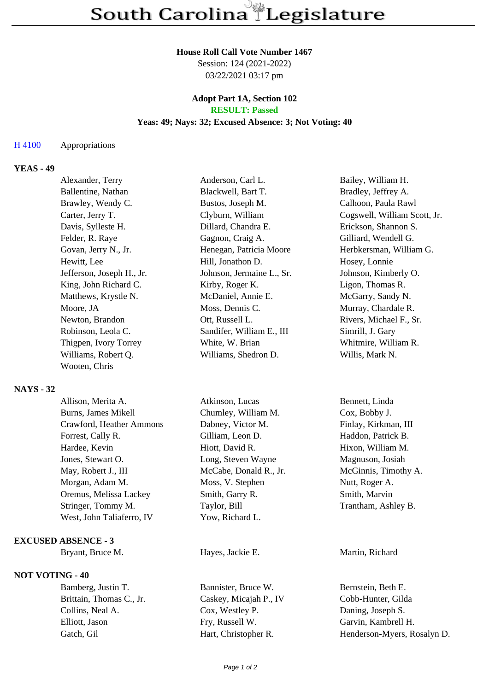### **House Roll Call Vote Number 1467**

Session: 124 (2021-2022) 03/22/2021 03:17 pm

### **Adopt Part 1A, Section 102 RESULT: Passed**

# **Yeas: 49; Nays: 32; Excused Absence: 3; Not Voting: 40**

### H 4100 Appropriations

## **YEAS - 49**

| Anderson, Carl L.         | Bailey, William H.           |
|---------------------------|------------------------------|
| Blackwell, Bart T.        | Bradley, Jeffrey A.          |
| Bustos, Joseph M.         | Calhoon, Paula Rawl          |
| Clyburn, William          | Cogswell, William Scott, Jr. |
| Dillard, Chandra E.       | Erickson, Shannon S.         |
| Gagnon, Craig A.          | Gilliard, Wendell G.         |
| Henegan, Patricia Moore   | Herbkersman, William G.      |
| Hill, Jonathon D.         | Hosey, Lonnie                |
| Johnson, Jermaine L., Sr. | Johnson, Kimberly O.         |
| Kirby, Roger K.           | Ligon, Thomas R.             |
| McDaniel, Annie E.        | McGarry, Sandy N.            |
| Moss, Dennis C.           | Murray, Chardale R.          |
| Ott, Russell L.           | Rivers, Michael F., Sr.      |
| Sandifer, William E., III | Simrill, J. Gary             |
| White, W. Brian           | Whitmire, William R.         |
| Williams, Shedron D.      | Willis, Mark N.              |
|                           |                              |
|                           |                              |

### **NAYS - 32**

| Allison, Merita A.        | Atkinson, Lucas        | Bennett, Linda       |
|---------------------------|------------------------|----------------------|
| Burns, James Mikell       | Chumley, William M.    | Cox, Bobby J.        |
| Crawford, Heather Ammons  | Dabney, Victor M.      | Finlay, Kirkman, III |
| Forrest, Cally R.         | Gilliam, Leon D.       | Haddon, Patrick B.   |
| Hardee, Kevin             | Hiott, David R.        | Hixon, William M.    |
| Jones, Stewart O.         | Long, Steven Wayne     | Magnuson, Josiah     |
| May, Robert J., III       | McCabe, Donald R., Jr. | McGinnis, Timothy A. |
| Morgan, Adam M.           | Moss, V. Stephen       | Nutt, Roger A.       |
| Oremus, Melissa Lackey    | Smith, Garry R.        | Smith, Marvin        |
| Stringer, Tommy M.        | Taylor, Bill           | Trantham, Ashley B.  |
| West, John Taliaferro, IV | Yow, Richard L.        |                      |
|                           |                        |                      |

#### **EXCUSED ABSENCE - 3**

## **NOT VOTING - 40**

Bamberg, Justin T. Bannister, Bruce W. Bernstein, Beth E. Brittain, Thomas C., Jr. Caskey, Micajah P., IV Cobb-Hunter, Gilda Collins, Neal A. Cox, Westley P. Daning, Joseph S. Elliott, Jason Fry, Russell W. Garvin, Kambrell H.

### Bryant, Bruce M. **Hayes, Jackie E.** Martin, Richard

Gatch, Gil Hart, Christopher R. Henderson-Myers, Rosalyn D.